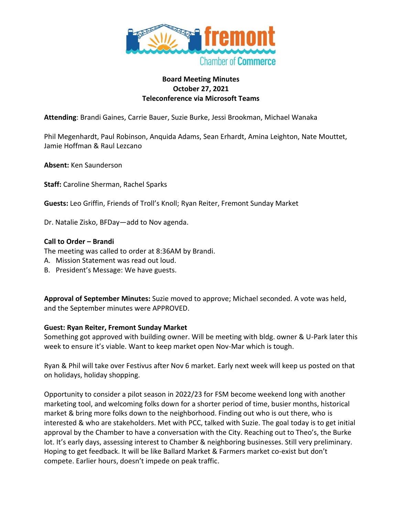

### **Board Meeting Minutes October 27, 2021 Teleconference via Microsoft Teams**

**Attending**: Brandi Gaines, Carrie Bauer, Suzie Burke, Jessi Brookman, Michael Wanaka

Phil Megenhardt, Paul Robinson, Anquida Adams, Sean Erhardt, Amina Leighton, Nate Mouttet, Jamie Hoffman & Raul Lezcano

**Absent:** Ken Saunderson

**Staff:** Caroline Sherman, Rachel Sparks

**Guests:** Leo Griffin, Friends of Troll's Knoll; Ryan Reiter, Fremont Sunday Market

Dr. Natalie Zisko, BFDay—add to Nov agenda.

#### **Call to Order – Brandi**

The meeting was called to order at 8:36AM by Brandi.

- A. Mission Statement was read out loud.
- B. President's Message: We have guests.

**Approval of September Minutes:** Suzie moved to approve; Michael seconded. A vote was held, and the September minutes were APPROVED.

### **Guest: Ryan Reiter, Fremont Sunday Market**

Something got approved with building owner. Will be meeting with bldg. owner & U-Park later this week to ensure it's viable. Want to keep market open Nov-Mar which is tough.

Ryan & Phil will take over Festivus after Nov 6 market. Early next week will keep us posted on that on holidays, holiday shopping.

Opportunity to consider a pilot season in 2022/23 for FSM become weekend long with another marketing tool, and welcoming folks down for a shorter period of time, busier months, historical market & bring more folks down to the neighborhood. Finding out who is out there, who is interested & who are stakeholders. Met with PCC, talked with Suzie. The goal today is to get initial approval by the Chamber to have a conversation with the City. Reaching out to Theo's, the Burke lot. It's early days, assessing interest to Chamber & neighboring businesses. Still very preliminary. Hoping to get feedback. It will be like Ballard Market & Farmers market co-exist but don't compete. Earlier hours, doesn't impede on peak traffic.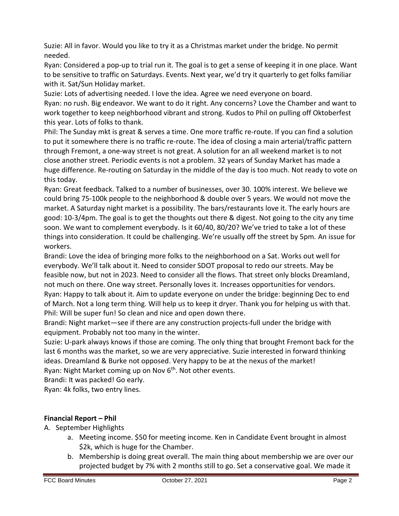Suzie: All in favor. Would you like to try it as a Christmas market under the bridge. No permit needed.

Ryan: Considered a pop-up to trial run it. The goal is to get a sense of keeping it in one place. Want to be sensitive to traffic on Saturdays. Events. Next year, we'd try it quarterly to get folks familiar with it. Sat/Sun Holiday market.

Suzie: Lots of advertising needed. I love the idea. Agree we need everyone on board. Ryan: no rush. Big endeavor. We want to do it right. Any concerns? Love the Chamber and want to work together to keep neighborhood vibrant and strong. Kudos to Phil on pulling off Oktoberfest this year. Lots of folks to thank.

Phil: The Sunday mkt is great & serves a time. One more traffic re-route. If you can find a solution to put it somewhere there is no traffic re-route. The idea of closing a main arterial/traffic pattern through Fremont, a one-way street is not great. A solution for an all weekend market is to not close another street. Periodic events is not a problem. 32 years of Sunday Market has made a huge difference. Re-routing on Saturday in the middle of the day is too much. Not ready to vote on this today.

Ryan: Great feedback. Talked to a number of businesses, over 30. 100% interest. We believe we could bring 75-100k people to the neighborhood & double over 5 years. We would not move the market. A Saturday night market is a possibility. The bars/restaurants love it. The early hours are good: 10-3/4pm. The goal is to get the thoughts out there & digest. Not going to the city any time soon. We want to complement everybody. Is it 60/40, 80/20? We've tried to take a lot of these things into consideration. It could be challenging. We're usually off the street by 5pm. An issue for workers.

Brandi: Love the idea of bringing more folks to the neighborhood on a Sat. Works out well for everybody. We'll talk about it. Need to consider SDOT proposal to redo our streets. May be feasible now, but not in 2023. Need to consider all the flows. That street only blocks Dreamland, not much on there. One way street. Personally loves it. Increases opportunities for vendors. Ryan: Happy to talk about it. Aim to update everyone on under the bridge: beginning Dec to end of March. Not a long term thing. Will help us to keep it dryer. Thank you for helping us with that. Phil: Will be super fun! So clean and nice and open down there.

Brandi: Night market—see if there are any construction projects-full under the bridge with equipment. Probably not too many in the winter.

Suzie: U-park always knows if those are coming. The only thing that brought Fremont back for the last 6 months was the market, so we are very appreciative. Suzie interested in forward thinking ideas. Dreamland & Burke not opposed. Very happy to be at the nexus of the market! Ryan: Night Market coming up on Nov 6<sup>th</sup>. Not other events.

Brandi: It was packed! Go early.

Ryan: 4k folks, two entry lines.

# **Financial Report – Phil**

- A. September Highlights
	- a. Meeting income. \$50 for meeting income. Ken in Candidate Event brought in almost \$2k, which is huge for the Chamber.
	- b. Membership is doing great overall. The main thing about membership we are over our projected budget by 7% with 2 months still to go. Set a conservative goal. We made it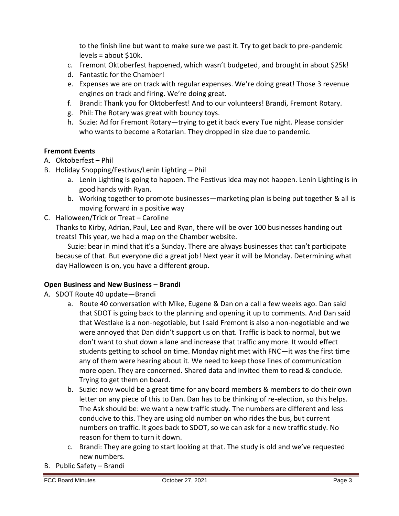to the finish line but want to make sure we past it. Try to get back to pre-pandemic levels = about \$10k.

- c. Fremont Oktoberfest happened, which wasn't budgeted, and brought in about \$25k!
- d. Fantastic for the Chamber!
- e. Expenses we are on track with regular expenses. We're doing great! Those 3 revenue engines on track and firing. We're doing great.
- f. Brandi: Thank you for Oktoberfest! And to our volunteers! Brandi, Fremont Rotary.
- g. Phil: The Rotary was great with bouncy toys.
- h. Suzie: Ad for Fremont Rotary—trying to get it back every Tue night. Please consider who wants to become a Rotarian. They dropped in size due to pandemic.

### **Fremont Events**

- A. Oktoberfest Phil
- B. Holiday Shopping/Festivus/Lenin Lighting Phil
	- a. Lenin Lighting is going to happen. The Festivus idea may not happen. Lenin Lighting is in good hands with Ryan.
	- b. Working together to promote businesses—marketing plan is being put together & all is moving forward in a positive way
- C. Halloween/Trick or Treat Caroline

Thanks to Kirby, Adrian, Paul, Leo and Ryan, there will be over 100 businesses handing out treats! This year, we had a map on the Chamber website.

Suzie: bear in mind that it's a Sunday. There are always businesses that can't participate because of that. But everyone did a great job! Next year it will be Monday. Determining what day Halloween is on, you have a different group.

## **Open Business and New Business – Brandi**

- A. SDOT Route 40 update—Brandi
	- a. Route 40 conversation with Mike, Eugene & Dan on a call a few weeks ago. Dan said that SDOT is going back to the planning and opening it up to comments. And Dan said that Westlake is a non-negotiable, but I said Fremont is also a non-negotiable and we were annoyed that Dan didn't support us on that. Traffic is back to normal, but we don't want to shut down a lane and increase that traffic any more. It would effect students getting to school on time. Monday night met with FNC—it was the first time any of them were hearing about it. We need to keep those lines of communication more open. They are concerned. Shared data and invited them to read & conclude. Trying to get them on board.
	- b. Suzie: now would be a great time for any board members & members to do their own letter on any piece of this to Dan. Dan has to be thinking of re-election, so this helps. The Ask should be: we want a new traffic study. The numbers are different and less conducive to this. They are using old number on who rides the bus, but current numbers on traffic. It goes back to SDOT, so we can ask for a new traffic study. No reason for them to turn it down.
	- c. Brandi: They are going to start looking at that. The study is old and we've requested new numbers.
- B. Public Safety Brandi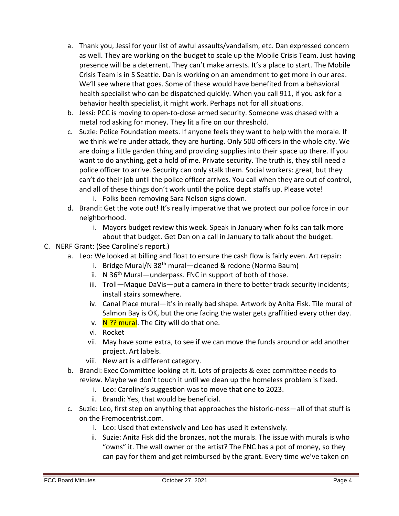- a. Thank you, Jessi for your list of awful assaults/vandalism, etc. Dan expressed concern as well. They are working on the budget to scale up the Mobile Crisis Team. Just having presence will be a deterrent. They can't make arrests. It's a place to start. The Mobile Crisis Team is in S Seattle. Dan is working on an amendment to get more in our area. We'll see where that goes. Some of these would have benefited from a behavioral health specialist who can be dispatched quickly. When you call 911, if you ask for a behavior health specialist, it might work. Perhaps not for all situations.
- b. Jessi: PCC is moving to open-to-close armed security. Someone was chased with a metal rod asking for money. They lit a fire on our threshold.
- c. Suzie: Police Foundation meets. If anyone feels they want to help with the morale. If we think we're under attack, they are hurting. Only 500 officers in the whole city. We are doing a little garden thing and providing supplies into their space up there. If you want to do anything, get a hold of me. Private security. The truth is, they still need a police officer to arrive. Security can only stalk them. Social workers: great, but they can't do their job until the police officer arrives. You call when they are out of control, and all of these things don't work until the police dept staffs up. Please vote!
	- i. Folks been removing Sara Nelson signs down.
- d. Brandi: Get the vote out! It's really imperative that we protect our police force in our neighborhood.
	- i. Mayors budget review this week. Speak in January when folks can talk more about that budget. Get Dan on a call in January to talk about the budget.
- C. NERF Grant: (See Caroline's report.)
	- a. Leo: We looked at billing and float to ensure the cash flow is fairly even. Art repair:
		- i. Bridge Mural/N 38<sup>th</sup> mural—cleaned & redone (Norma Baum)
		- ii. N 36<sup>th</sup> Mural—underpass. FNC in support of both of those.
		- iii. Troll—Maque DaVis—put a camera in there to better track security incidents; install stairs somewhere.
		- iv. Canal Place mural—it's in really bad shape. Artwork by Anita Fisk. Tile mural of Salmon Bay is OK, but the one facing the water gets graffitied every other day.
		- v.  $N$  ?? mural. The City will do that one.
		- vi. Rocket
		- vii. May have some extra, to see if we can move the funds around or add another project. Art labels.
		- viii. New art is a different category.
	- b. Brandi: Exec Committee looking at it. Lots of projects & exec committee needs to review. Maybe we don't touch it until we clean up the homeless problem is fixed.
		- i. Leo: Caroline's suggestion was to move that one to 2023.
		- ii. Brandi: Yes, that would be beneficial.
	- c. Suzie: Leo, first step on anything that approaches the historic-ness—all of that stuff is on the Fremocentrist.com.
		- i. Leo: Used that extensively and Leo has used it extensively.
		- ii. Suzie: Anita Fisk did the bronzes, not the murals. The issue with murals is who "owns" it. The wall owner or the artist? The FNC has a pot of money, so they can pay for them and get reimbursed by the grant. Every time we've taken on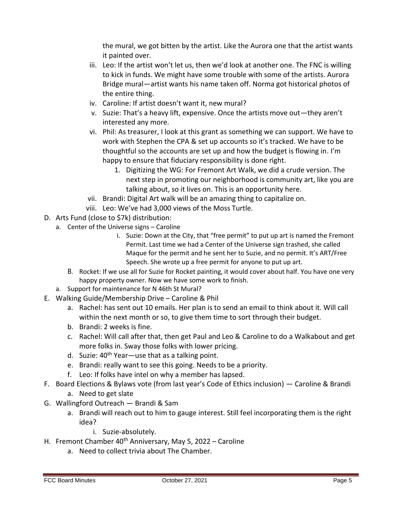the mural, we got bitten by the artist. Like the Aurora one that the artist wants it painted over.

- iii. Leo: If the artist won't let us, then we'd look at another one. The FNC is willing to kick in funds. We might have some trouble with some of the artists. Aurora Bridge mural—artist wants his name taken off. Norma got historical photos of the entire thing.
- iv. Caroline: If artist doesn't want it, new mural?
- v. Suzie: That's a heavy lift, expensive. Once the artists move out—they aren't interested any more.
- vi. Phil: As treasurer, I look at this grant as something we can support. We have to work with Stephen the CPA & set up accounts so it's tracked. We have to be thoughtful so the accounts are set up and how the budget is flowing in. I'm happy to ensure that fiduciary responsibility is done right.
	- 1. Digitizing the WG: For Fremont Art Walk, we did a crude version. The next step in promoting our neighborhood is community art, like you are talking about, so it lives on. This is an opportunity here.
- vii. Brandi: Digital Art walk will be an amazing thing to capitalize on.
- viii. Leo: We've had 3,000 views of the Moss Turtle.
- D. Arts Fund (close to \$7k) distribution:
	- a. Center of the Universe signs Caroline
		- i. Suzie: Down at the City, that "free permit" to put up art is named the Fremont Permit. Last time we had a Center of the Universe sign trashed, she called Maque for the permit and he sent her to Suzie, and no permit. It's ART/Free Speech. She wrote up a free permit for anyone to put up art.
		- B. Rocket: If we use all for Suzie for Rocket painting, it would cover about half. You have one very happy property owner. Now we have some work to finish.
	- a. Support for maintenance for N 46th St Mural?
- E. Walking Guide/Membership Drive Caroline & Phil
	- a. Rachel: has sent out 10 emails. Her plan is to send an email to think about it. Will call within the next month or so, to give them time to sort through their budget.
	- b. Brandi: 2 weeks is fine.
	- c. Rachel: Will call after that, then get Paul and Leo & Caroline to do a Walkabout and get more folks in. Sway those folks with lower pricing.
	- d. Suzie:  $40^{th}$  Year use that as a talking point.
	- e. Brandi: really want to see this going. Needs to be a priority.
	- f. Leo: If folks have intel on why a member has lapsed.
- F. Board Elections & Bylaws vote (from last year's Code of Ethics inclusion) Caroline & Brandi a. Need to get slate
- G. Wallingford Outreach Brandi & Sam
	- a. Brandi will reach out to him to gauge interest. Still feel incorporating them is the right idea?
		- i. Suzie-absolutely.
- H. Fremont Chamber 40<sup>th</sup> Anniversary, May 5, 2022 Caroline
	- a. Need to collect trivia about The Chamber.